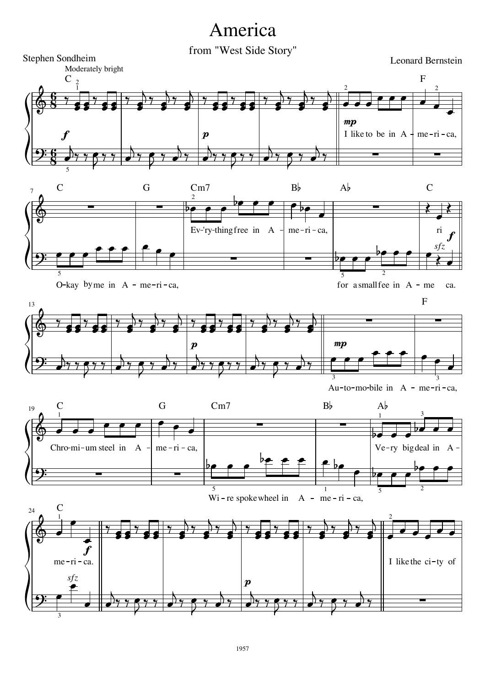## America<br>from "West Side Story"

Leonard Bernstein